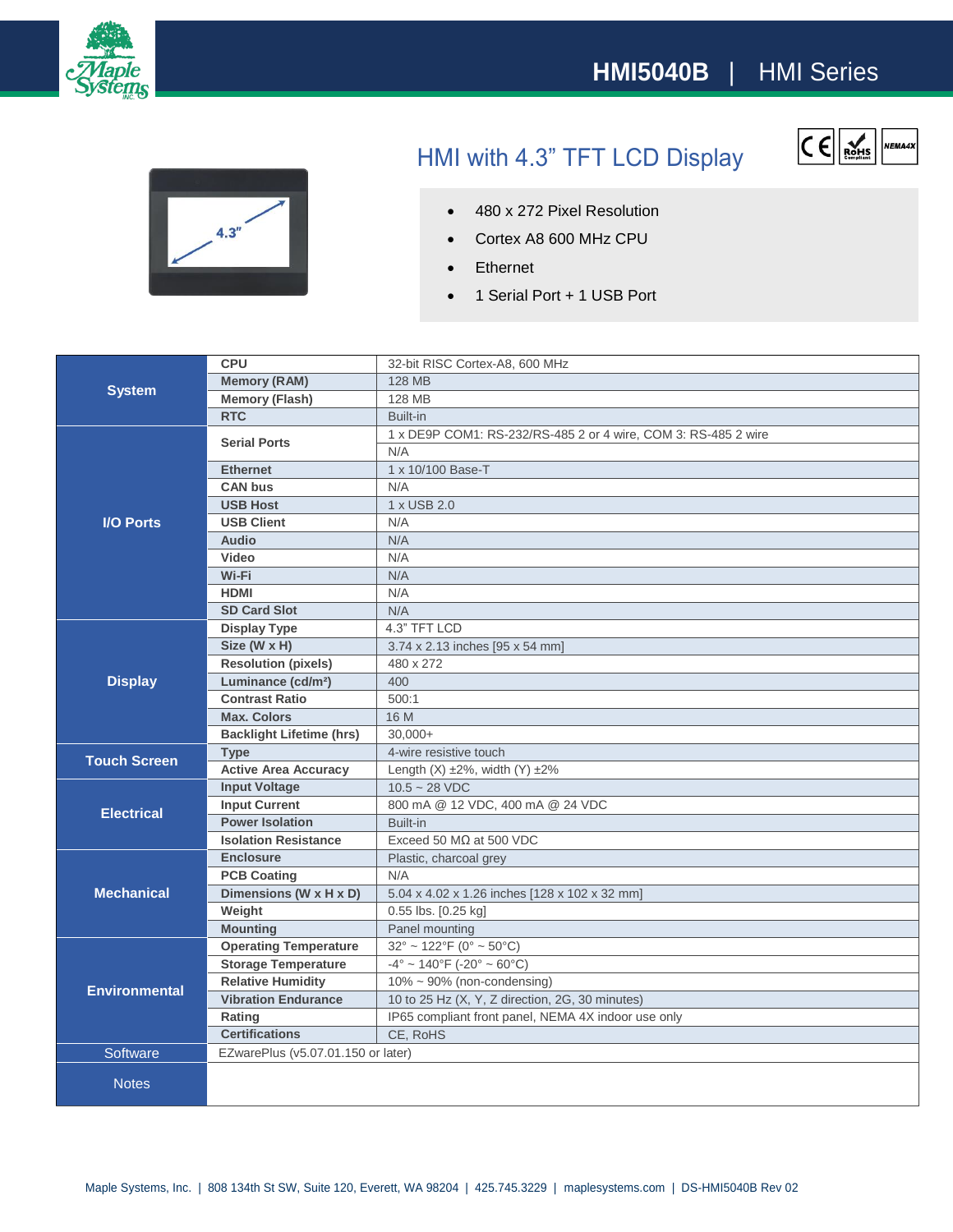



## HMI with 4.3" TFT LCD Display



- 480 x 272 Pixel Resolution
- Cortex A8 600 MHz CPU
- Ethernet
- 1 Serial Port + 1 USB Port

| <b>System</b>        | <b>CPU</b>                         | 32-bit RISC Cortex-A8, 600 MHz                                     |
|----------------------|------------------------------------|--------------------------------------------------------------------|
|                      | <b>Memory (RAM)</b>                | <b>128 MB</b>                                                      |
|                      | <b>Memory (Flash)</b>              | <b>128 MB</b>                                                      |
|                      | <b>RTC</b>                         | Built-in                                                           |
| <b>I/O Ports</b>     | <b>Serial Ports</b>                | 1 x DE9P COM1: RS-232/RS-485 2 or 4 wire, COM 3: RS-485 2 wire     |
|                      |                                    | N/A                                                                |
|                      | <b>Ethernet</b>                    | 1 x 10/100 Base-T                                                  |
|                      | <b>CAN bus</b>                     | N/A                                                                |
|                      | <b>USB Host</b>                    | 1 x USB 2.0                                                        |
|                      | <b>USB Client</b>                  | N/A                                                                |
|                      | <b>Audio</b>                       | N/A                                                                |
|                      | Video                              | N/A                                                                |
|                      | Wi-Fi                              | N/A                                                                |
|                      | <b>HDMI</b>                        | N/A                                                                |
|                      | <b>SD Card Slot</b>                | N/A                                                                |
| <b>Display</b>       | <b>Display Type</b>                | 4.3" TFT LCD                                                       |
|                      | Size (W x H)                       | 3.74 x 2.13 inches [95 x 54 mm]                                    |
|                      | <b>Resolution (pixels)</b>         | 480 x 272                                                          |
|                      | Luminance (cd/m <sup>2</sup> )     | 400                                                                |
|                      | <b>Contrast Ratio</b>              | 500:1                                                              |
|                      | <b>Max. Colors</b>                 | 16 M                                                               |
|                      | <b>Backlight Lifetime (hrs)</b>    | $30,000+$                                                          |
| <b>Touch Screen</b>  | <b>Type</b>                        | 4-wire resistive touch                                             |
|                      | <b>Active Area Accuracy</b>        | Length $(X) \pm 2\%$ , width $(Y) \pm 2\%$                         |
| <b>Electrical</b>    | <b>Input Voltage</b>               | $10.5 - 28$ VDC                                                    |
|                      | <b>Input Current</b>               | 800 mA @ 12 VDC, 400 mA @ 24 VDC                                   |
|                      | <b>Power Isolation</b>             | Built-in                                                           |
|                      | <b>Isolation Resistance</b>        | Exceed 50 $M\Omega$ at 500 VDC                                     |
| <b>Mechanical</b>    | <b>Enclosure</b>                   | Plastic, charcoal grey                                             |
|                      | <b>PCB Coating</b>                 | N/A                                                                |
|                      | Dimensions (W x H x D)             | 5.04 x 4.02 x 1.26 inches [128 x 102 x 32 mm]                      |
|                      | Weight                             | 0.55 lbs. [0.25 kg]                                                |
|                      | <b>Mounting</b>                    | Panel mounting                                                     |
| <b>Environmental</b> | <b>Operating Temperature</b>       | $32^{\circ} \sim 122^{\circ}F(0^{\circ} \sim 50^{\circ}C)$         |
|                      | <b>Storage Temperature</b>         | $-4^{\circ} \sim 140^{\circ}$ F ( $-20^{\circ} \sim 60^{\circ}$ C) |
|                      | <b>Relative Humidity</b>           | $10\% \sim 90\%$ (non-condensing)                                  |
|                      | <b>Vibration Endurance</b>         | 10 to 25 Hz (X, Y, Z direction, 2G, 30 minutes)                    |
|                      | Rating                             | IP65 compliant front panel, NEMA 4X indoor use only                |
|                      | <b>Certifications</b>              | CE, RoHS                                                           |
| Software             | EZwarePlus (v5.07.01.150 or later) |                                                                    |
| <b>Notes</b>         |                                    |                                                                    |